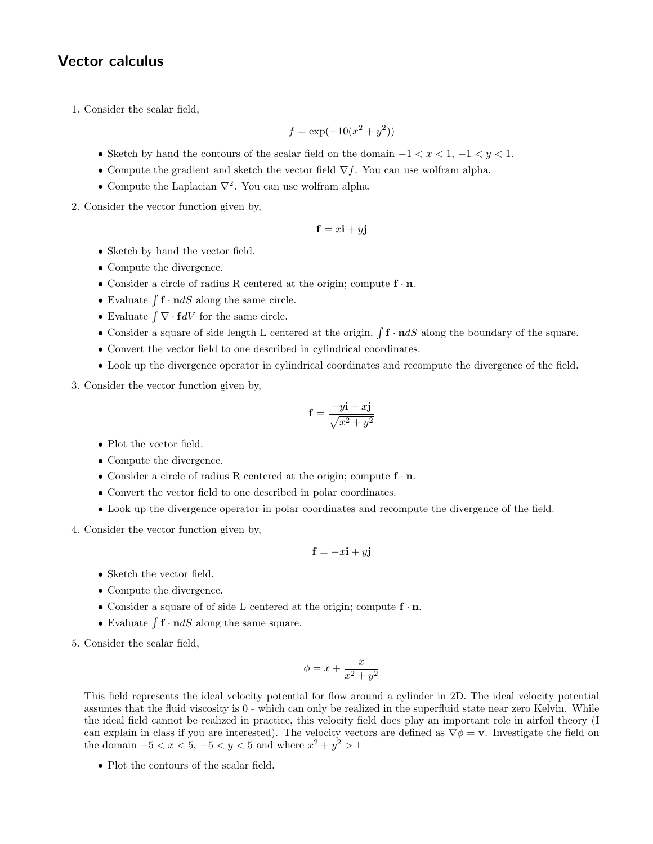## Vector calculus

1. Consider the scalar field,

$$
f = \exp(-10(x^2 + y^2))
$$

- Sketch by hand the contours of the scalar field on the domain  $-1 < x < 1, -1 < y < 1$ .
- Compute the gradient and sketch the vector field  $\nabla f$ . You can use wolfram alpha.
- Compute the Laplacian  $\nabla^2$ . You can use wolfram alpha.
- 2. Consider the vector function given by,

$$
\mathbf{f} = x\mathbf{i} + y\mathbf{j}
$$

- Sketch by hand the vector field.
- Compute the divergence.
- Consider a circle of radius R centered at the origin; compute  $f \cdot n$ .
- Evaluate  $\int \mathbf{f} \cdot \mathbf{n} dS$  along the same circle.
- Evaluate  $\int \nabla \cdot \mathbf{f} dV$  for the same circle.
- Consider a square of side length L centered at the origin,  $\int f \cdot n dS$  along the boundary of the square.
- Convert the vector field to one described in cylindrical coordinates.
- Look up the divergence operator in cylindrical coordinates and recompute the divergence of the field.
- 3. Consider the vector function given by,

$$
\mathbf{f} = \frac{-y\mathbf{i} + x\mathbf{j}}{\sqrt{x^2 + y^2}}
$$

- Plot the vector field.
- Compute the divergence.
- Consider a circle of radius R centered at the origin; compute  $f \cdot n$ .
- Convert the vector field to one described in polar coordinates.
- Look up the divergence operator in polar coordinates and recompute the divergence of the field.
- 4. Consider the vector function given by,

$$
\mathbf{f} = -x\mathbf{i} + y\mathbf{j}
$$

- Sketch the vector field.
- Compute the divergence.
- Consider a square of of side L centered at the origin; compute  $f \cdot n$ .
- Evaluate  $\int \mathbf{f} \cdot \mathbf{n} dS$  along the same square.
- 5. Consider the scalar field,

$$
\phi = x + \frac{x}{x^2 + y^2}
$$

This field represents the ideal velocity potential for flow around a cylinder in 2D. The ideal velocity potential assumes that the fluid viscosity is 0 - which can only be realized in the superfluid state near zero Kelvin. While the ideal field cannot be realized in practice, this velocity field does play an important role in airfoil theory (I can explain in class if you are interested). The velocity vectors are defined as  $\nabla \phi = \mathbf{v}$ . Investigate the field on the domain  $-5 < x < 5, -5 < y < 5$  and where  $x^2 + y^2 > 1$ 

• Plot the contours of the scalar field.